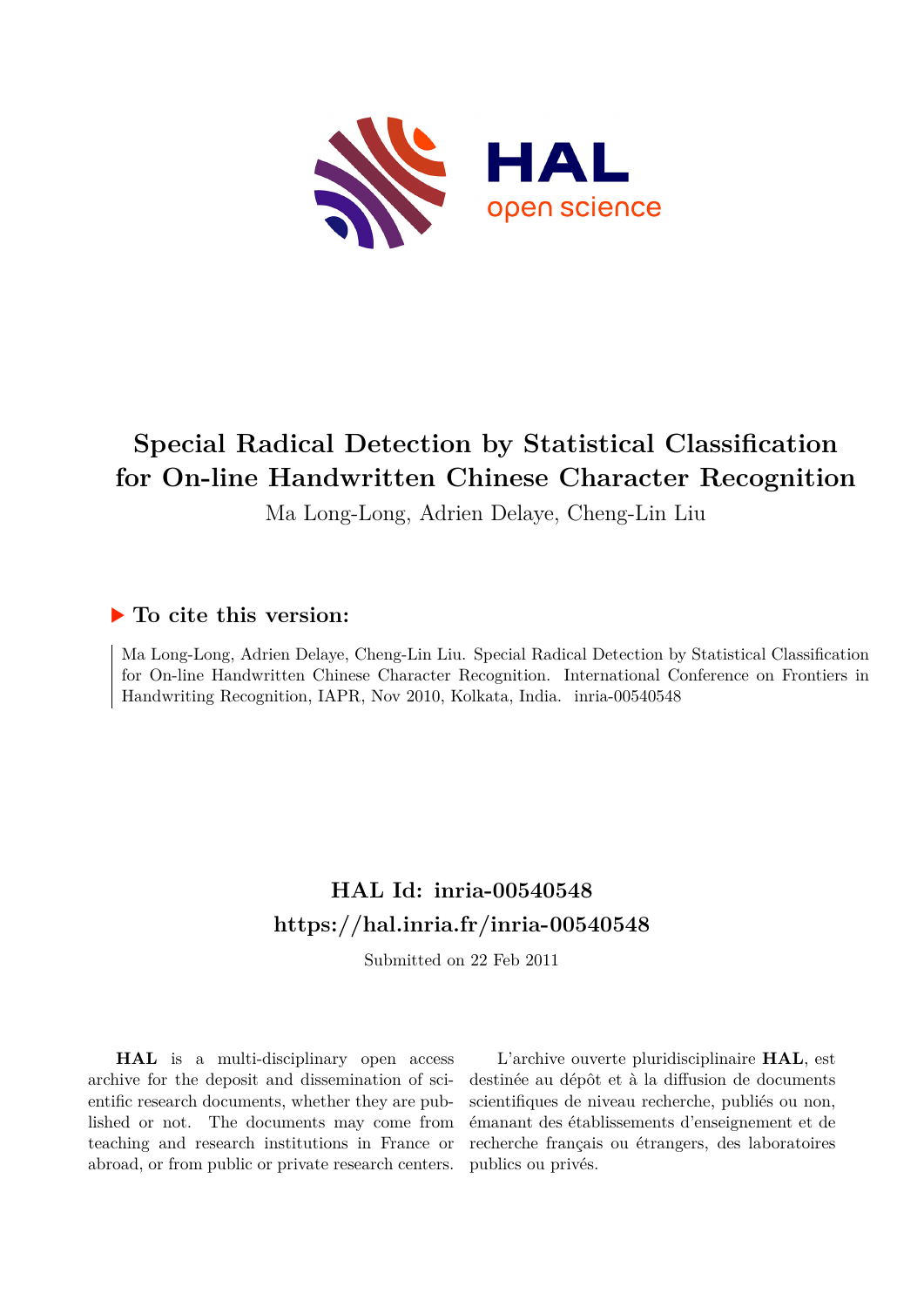

# **Special Radical Detection by Statistical Classification for On-line Handwritten Chinese Character Recognition**

Ma Long-Long, Adrien Delaye, Cheng-Lin Liu

# **To cite this version:**

Ma Long-Long, Adrien Delaye, Cheng-Lin Liu. Special Radical Detection by Statistical Classification for On-line Handwritten Chinese Character Recognition. International Conference on Frontiers in Handwriting Recognition, IAPR, Nov 2010, Kolkata, India. inria-00540548

# **HAL Id: inria-00540548 <https://hal.inria.fr/inria-00540548>**

Submitted on 22 Feb 2011

**HAL** is a multi-disciplinary open access archive for the deposit and dissemination of scientific research documents, whether they are published or not. The documents may come from teaching and research institutions in France or abroad, or from public or private research centers.

L'archive ouverte pluridisciplinaire **HAL**, est destinée au dépôt et à la diffusion de documents scientifiques de niveau recherche, publiés ou non, émanant des établissements d'enseignement et de recherche français ou étrangers, des laboratoires publics ou privés.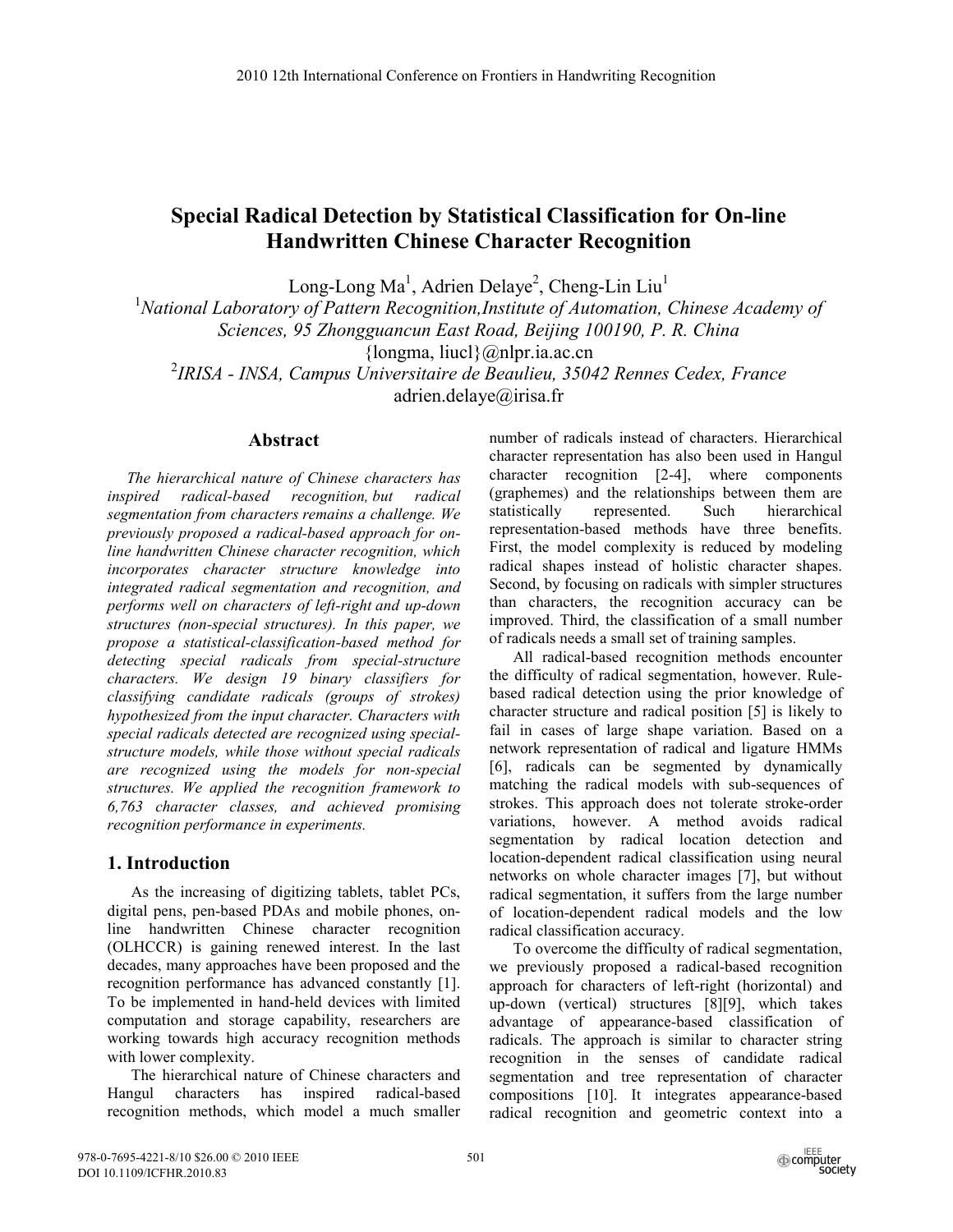# **Special Radical Detection by Statistical Classification for On-line Handwritten Chinese Character Recognition**

Long-Long Ma<sup>1</sup>, Adrien Delaye<sup>2</sup>, Cheng-Lin Liu<sup>1</sup><br><sup>1</sup>National Laboratory of Pattern Paeographien Institute of Automation

<sup>1</sup> National Laboratory of Pattern Recognition, Institute of Automation, Chinese Academy of

*Sciences, 95 Zhongguancun East Road, Beijing 100190, P. R. China*

 ${longma, liucl}$ @nlpr.ia.ac.cn

2 *IRISA - INSA, Campus Universitaire de Beaulieu, 35042 Rennes Cedex, France*

adrien.delaye@irisa.fr

# **Abstract**

*The hierarchical nature of Chinese characters has inspired radical-based recognition, but radical segmentation from characters remains a challenge. We previously proposed a radical-based approach for online handwritten Chinese character recognition, which incorporates character structure knowledge into integrated radical segmentation and recognition, and performs well on characters of left-right and up-down structures (non-special structures). In this paper, we propose a statistical-classification-based method for detecting special radicals from special-structure characters. We design 19 binary classifiers for classifying candidate radicals (groups of strokes) hypothesized from the input character. Characters with special radicals detected are recognized using specialstructure models, while those without special radicals are recognized using the models for non-special structures. We applied the recognition framework to 6,763 character classes, and achieved promising recognition performance in experiments.* 

# **1. Introduction**

As the increasing of digitizing tablets, tablet PCs, digital pens, pen-based PDAs and mobile phones, online handwritten Chinese character recognition (OLHCCR) is gaining renewed interest. In the last decades, many approaches have been proposed and the recognition performance has advanced constantly [1]. To be implemented in hand-held devices with limited computation and storage capability, researchers are working towards high accuracy recognition methods with lower complexity.

The hierarchical nature of Chinese characters and Hangul characters has inspired radical-based recognition methods, which model a much smaller number of radicals instead of characters. Hierarchical character representation has also been used in Hangul character recognition [2-4], where components (graphemes) and the relationships between them are statistically represented. Such hierarchical representation-based methods have three benefits. First, the model complexity is reduced by modeling radical shapes instead of holistic character shapes. Second, by focusing on radicals with simpler structures than characters, the recognition accuracy can be improved. Third, the classification of a small number of radicals needs a small set of training samples.

All radical-based recognition methods encounter the difficulty of radical segmentation, however. Rulebased radical detection using the prior knowledge of character structure and radical position [5] is likely to fail in cases of large shape variation. Based on a network representation of radical and ligature HMMs [6], radicals can be segmented by dynamically matching the radical models with sub-sequences of strokes. This approach does not tolerate stroke-order variations, however. A method avoids radical segmentation by radical location detection and location-dependent radical classification using neural networks on whole character images [7], but without radical segmentation, it suffers from the large number of location-dependent radical models and the low radical classification accuracy.

To overcome the difficulty of radical segmentation, we previously proposed a radical-based recognition approach for characters of left-right (horizontal) and up-down (vertical) structures [8][9], which takes advantage of appearance-based classification of radicals. The approach is similar to character string recognition in the senses of candidate radical segmentation and tree representation of character compositions [10]. It integrates appearance-based radical recognition and geometric context into a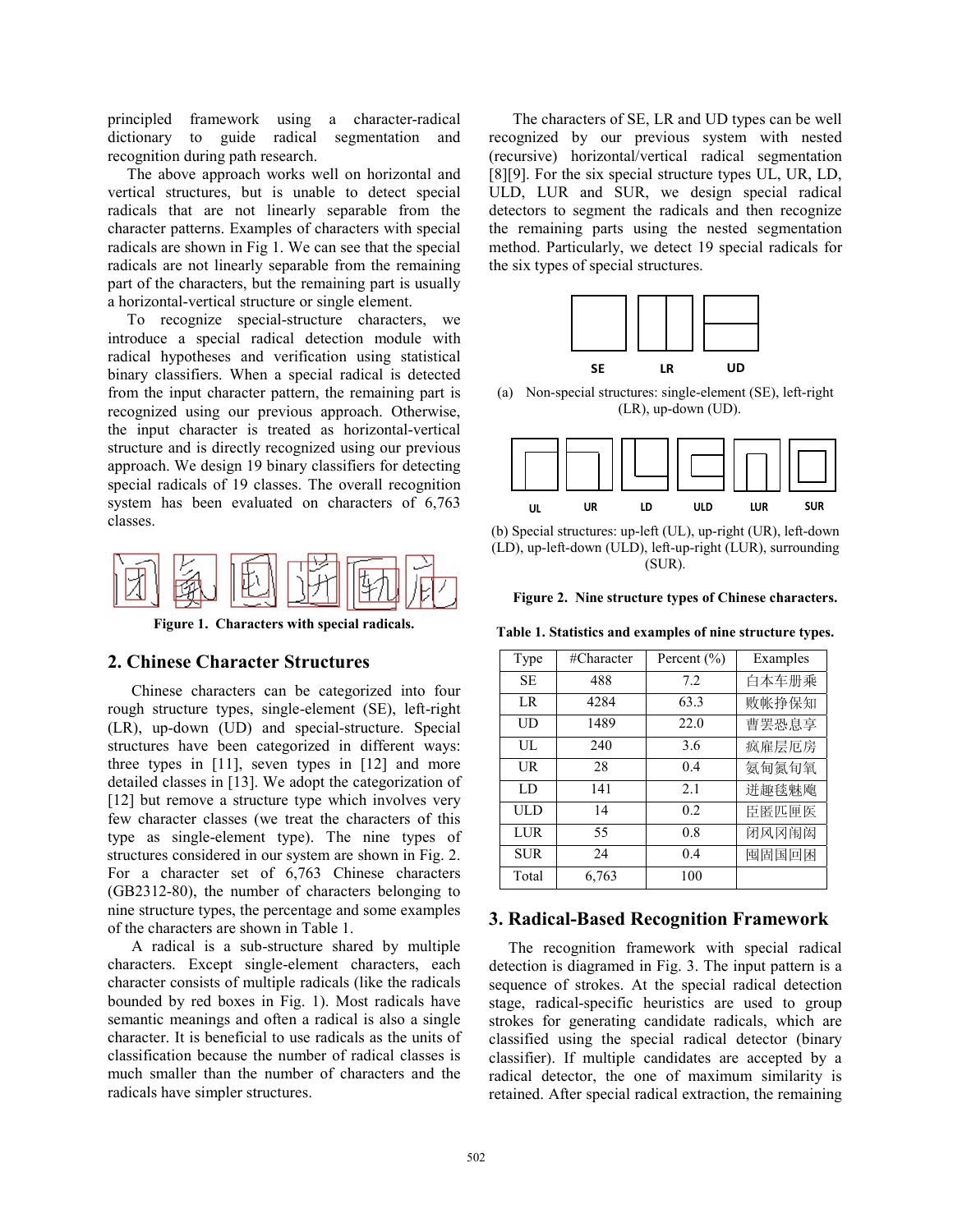principled framework using a character-radical dictionary to guide radical segmentation and recognition during path research.

The above approach works well on horizontal and vertical structures, but is unable to detect special radicals that are not linearly separable from the character patterns. Examples of characters with special radicals are shown in Fig 1. We can see that the special radicals are not linearly separable from the remaining part of the characters, but the remaining part is usually a horizontal-vertical structure or single element.

To recognize special-structure characters, we introduce a special radical detection module with radical hypotheses and verification using statistical binary classifiers. When a special radical is detected from the input character pattern, the remaining part is recognized using our previous approach. Otherwise, the input character is treated as horizontal-vertical structure and is directly recognized using our previous approach. We design 19 binary classifiers for detecting special radicals of 19 classes. The overall recognition system has been evaluated on characters of 6,763 classes.



**Figure 1. Characters with special radicals.** 

# **2. Chinese Character Structures**

Chinese characters can be categorized into four rough structure types, single-element (SE), left-right (LR), up-down (UD) and special-structure. Special structures have been categorized in different ways: three types in [11], seven types in [12] and more detailed classes in [13]. We adopt the categorization of [12] but remove a structure type which involves very few character classes (we treat the characters of this type as single-element type). The nine types of structures considered in our system are shown in Fig. 2. For a character set of 6,763 Chinese characters (GB2312-80), the number of characters belonging to nine structure types, the percentage and some examples of the characters are shown in Table 1.

A radical is a sub-structure shared by multiple characters. Except single-element characters, each character consists of multiple radicals (like the radicals bounded by red boxes in Fig. 1). Most radicals have semantic meanings and often a radical is also a single character. It is beneficial to use radicals as the units of classification because the number of radical classes is much smaller than the number of characters and the radicals have simpler structures.

The characters of SE, LR and UD types can be well recognized by our previous system with nested (recursive) horizontal/vertical radical segmentation [8][9]. For the six special structure types UL, UR, LD, ULD, LUR and SUR, we design special radical detectors to segment the radicals and then recognize the remaining parts using the nested segmentation method. Particularly, we detect 19 special radicals for the six types of special structures.



(a) Non-special structures: single-element (SE), left-right (LR), up-down (UD).



(b) Special structures: up-left (UL), up-right (UR), left-down (LD), up-left-down (ULD), left-up-right (LUR), surrounding (SUR).

**Figure 2. Nine structure types of Chinese characters.** 

**Table 1. Statistics and examples of nine structure types.** 

| Type       | #Character | Percent $(\% )$ | Examples |  |
|------------|------------|-----------------|----------|--|
| <b>SE</b>  | 488        | 7.2             | 白本车册乘    |  |
| LR         | 4284       | 63.3            | 败帐挣保知    |  |
| UD         | 1489       | 22.0            | 曹罢恐息享    |  |
| UЦ.        | 240        | 3.6             | 疯雇层厄房    |  |
| UR         | 28         | 0.4             | 氨甸氮旬氧    |  |
| LD         | 141        | 2.1             | 迸趣毯魅飑    |  |
| ULD        | 14         | 0.2             | 臣匿匹匣医    |  |
| LUR        | 55         | 0.8             | 闭风冈闱闳    |  |
| <b>SUR</b> | 24         | 0.4             | 囤固国回困    |  |
| Total      | 6,763      | 100             |          |  |

#### **3. Radical-Based Recognition Framework**

The recognition framework with special radical detection is diagramed in Fig. 3. The input pattern is a sequence of strokes. At the special radical detection stage, radical-specific heuristics are used to group strokes for generating candidate radicals, which are classified using the special radical detector (binary classifier). If multiple candidates are accepted by a radical detector, the one of maximum similarity is retained. After special radical extraction, the remaining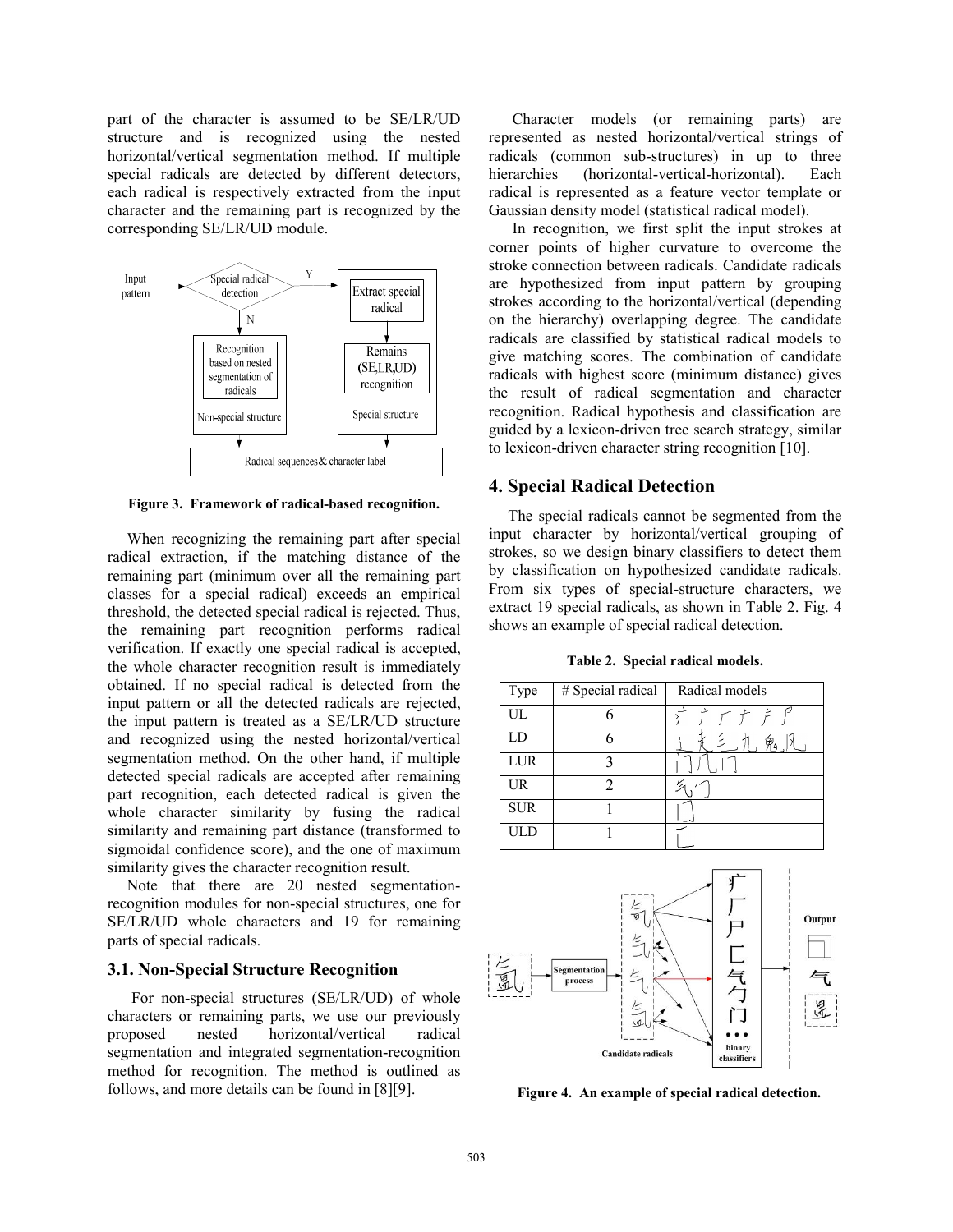part of the character is assumed to be SE/LR/UD structure and is recognized using the nested horizontal/vertical segmentation method. If multiple special radicals are detected by different detectors, each radical is respectively extracted from the input character and the remaining part is recognized by the corresponding SE/LR/UD module.



**Figure 3. Framework of radical-based recognition.**

When recognizing the remaining part after special radical extraction, if the matching distance of the remaining part (minimum over all the remaining part classes for a special radical) exceeds an empirical threshold, the detected special radical is rejected. Thus, the remaining part recognition performs radical verification. If exactly one special radical is accepted, the whole character recognition result is immediately obtained. If no special radical is detected from the input pattern or all the detected radicals are rejected, the input pattern is treated as a SE/LR/UD structure and recognized using the nested horizontal/vertical segmentation method. On the other hand, if multiple detected special radicals are accepted after remaining part recognition, each detected radical is given the whole character similarity by fusing the radical similarity and remaining part distance (transformed to sigmoidal confidence score), and the one of maximum similarity gives the character recognition result.

Note that there are 20 nested segmentationrecognition modules for non-special structures, one for SE/LR/UD whole characters and 19 for remaining parts of special radicals.

#### **3.1. Non-Special Structure Recognition**

 For non-special structures (SE/LR/UD) of whole characters or remaining parts, we use our previously proposed nested horizontal/vertical radical segmentation and integrated segmentation-recognition method for recognition. The method is outlined as follows, and more details can be found in [8][9].

Character models (or remaining parts) are represented as nested horizontal/vertical strings of radicals (common sub-structures) in up to three hierarchies (horizontal-vertical-horizontal). Each radical is represented as a feature vector template or Gaussian density model (statistical radical model).

In recognition, we first split the input strokes at corner points of higher curvature to overcome the stroke connection between radicals. Candidate radicals are hypothesized from input pattern by grouping strokes according to the horizontal/vertical (depending on the hierarchy) overlapping degree. The candidate radicals are classified by statistical radical models to give matching scores. The combination of candidate radicals with highest score (minimum distance) gives the result of radical segmentation and character recognition. Radical hypothesis and classification are guided by a lexicon-driven tree search strategy, similar to lexicon-driven character string recognition [10].

# **4. Special Radical Detection**

The special radicals cannot be segmented from the input character by horizontal/vertical grouping of strokes, so we design binary classifiers to detect them by classification on hypothesized candidate radicals. From six types of special-structure characters, we extract 19 special radicals, as shown in Table 2. Fig. 4 shows an example of special radical detection.

**Table 2. Special radical models.** 

| Type       | # Special radical | Radical models |
|------------|-------------------|----------------|
| UL         |                   |                |
| LD         |                   | 甲4             |
| LUR        |                   |                |
| <b>UR</b>  |                   |                |
| <b>SUR</b> |                   |                |
| ULD        |                   |                |



**Figure 4. An example of special radical detection.**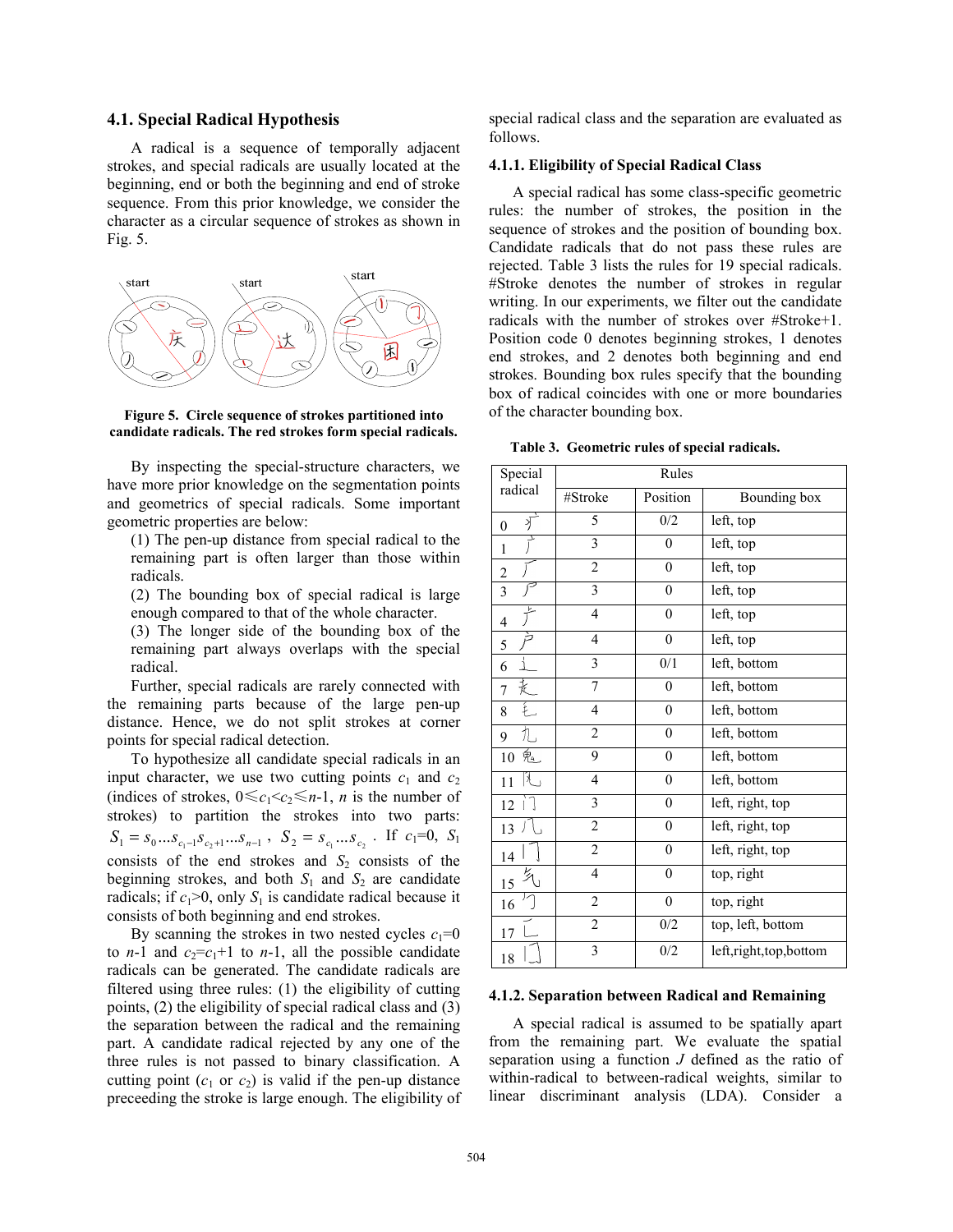#### **4.1. Special Radical Hypothesis**

A radical is a sequence of temporally adjacent strokes, and special radicals are usually located at the beginning, end or both the beginning and end of stroke sequence. From this prior knowledge, we consider the character as a circular sequence of strokes as shown in Fig. 5.



**Figure 5. Circle sequence of strokes partitioned into candidate radicals. The red strokes form special radicals.** 

By inspecting the special-structure characters, we have more prior knowledge on the segmentation points and geometrics of special radicals. Some important geometric properties are below:

(1) The pen-up distance from special radical to the remaining part is often larger than those within radicals.

(2) The bounding box of special radical is large enough compared to that of the whole character.

(3) The longer side of the bounding box of the remaining part always overlaps with the special radical.

Further, special radicals are rarely connected with the remaining parts because of the large pen-up distance. Hence, we do not split strokes at corner points for special radical detection.

To hypothesize all candidate special radicals in an input character, we use two cutting points  $c_1$  and  $c_2$ (indices of strokes,  $0 \leq c_1 < c_2 \leq n-1$ , *n* is the number of strokes) to partition the strokes into two parts:  $S_1 = s_0...s_{c_1-1}s_{c_2+1}...s_{n-1}$ ,  $S_2 = s_{c_1}...s_{c_2}$ . If  $c_1=0$ ,  $S_1$ consists of the end strokes and  $S_2$  consists of the beginning strokes, and both  $S_1$  and  $S_2$  are candidate radicals; if  $c_1>0$ , only  $S_1$  is candidate radical because it consists of both beginning and end strokes.

By scanning the strokes in two nested cycles  $c_1=0$ to *n*-1 and  $c_2 = c_1 + 1$  to *n*-1, all the possible candidate radicals can be generated. The candidate radicals are filtered using three rules: (1) the eligibility of cutting points, (2) the eligibility of special radical class and (3) the separation between the radical and the remaining part. A candidate radical rejected by any one of the three rules is not passed to binary classification. A cutting point  $(c_1 \text{ or } c_2)$  is valid if the pen-up distance preceeding the stroke is large enough. The eligibility of special radical class and the separation are evaluated as follows.

#### **4.1.1. Eligibility of Special Radical Class**

A special radical has some class-specific geometric rules: the number of strokes, the position in the sequence of strokes and the position of bounding box. Candidate radicals that do not pass these rules are rejected. Table 3 lists the rules for 19 special radicals. #Stroke denotes the number of strokes in regular writing. In our experiments, we filter out the candidate radicals with the number of strokes over #Stroke+1. Position code 0 denotes beginning strokes, 1 denotes end strokes, and 2 denotes both beginning and end strokes. Bounding box rules specify that the bounding box of radical coincides with one or more boundaries of the character bounding box.

|  | Table 3. Geometric rules of special radicals. |  |  |
|--|-----------------------------------------------|--|--|
|--|-----------------------------------------------|--|--|

| Special        | Rules                   |                  |                       |  |
|----------------|-------------------------|------------------|-----------------------|--|
| radical        | #Stroke                 | Position         | Bounding box          |  |
| 疒<br>$\theta$  | 5                       | 0/2              | left, top             |  |
| ì<br>1         | $\overline{\mathbf{3}}$ | $\theta$         | left, top             |  |
| $\overline{c}$ | $\overline{c}$          | $\boldsymbol{0}$ | left, top             |  |
| $\overline{3}$ | $\overline{\mathbf{3}}$ | $\boldsymbol{0}$ | left, top             |  |
| $\overline{4}$ | $\overline{4}$          | $\boldsymbol{0}$ | left, top             |  |
| 5              | $\overline{4}$          | $\boldsymbol{0}$ | left, top             |  |
| 6              | 3                       | 0/1              | left, bottom          |  |
| 走<br>7         | $\overline{7}$          | $\overline{0}$   | left, bottom          |  |
| 钆<br>8         | 4                       | $\boldsymbol{0}$ | left, bottom          |  |
| 九<br>9         | $\overline{c}$          | $\mathbf{0}$     | left, bottom          |  |
| 鬼<br>10        | 9                       | $\boldsymbol{0}$ | left, bottom          |  |
| Ł<br>11        | 4                       | $\boldsymbol{0}$ | left, bottom          |  |
| ìJ<br>12       | 3                       | $\mathbf{0}$     | left, right, top      |  |
| 13             | $\overline{2}$          | $\mathbf{0}$     | left, right, top      |  |
| 14             | $\overline{c}$          | $\mathbf{0}$     | left, right, top      |  |
| 匀<br>15        | $\overline{4}$          | $\boldsymbol{0}$ | top, right            |  |
| 16             | $\overline{c}$          | $\boldsymbol{0}$ | top, right            |  |
| 17             | $\overline{2}$          | 0/2              | top, left, bottom     |  |
| 18             | 3                       | 0/2              | left,right,top,bottom |  |

#### **4.1.2. Separation between Radical and Remaining**

 A special radical is assumed to be spatially apart from the remaining part. We evaluate the spatial separation using a function *J* defined as the ratio of within-radical to between-radical weights, similar to linear discriminant analysis (LDA). Consider a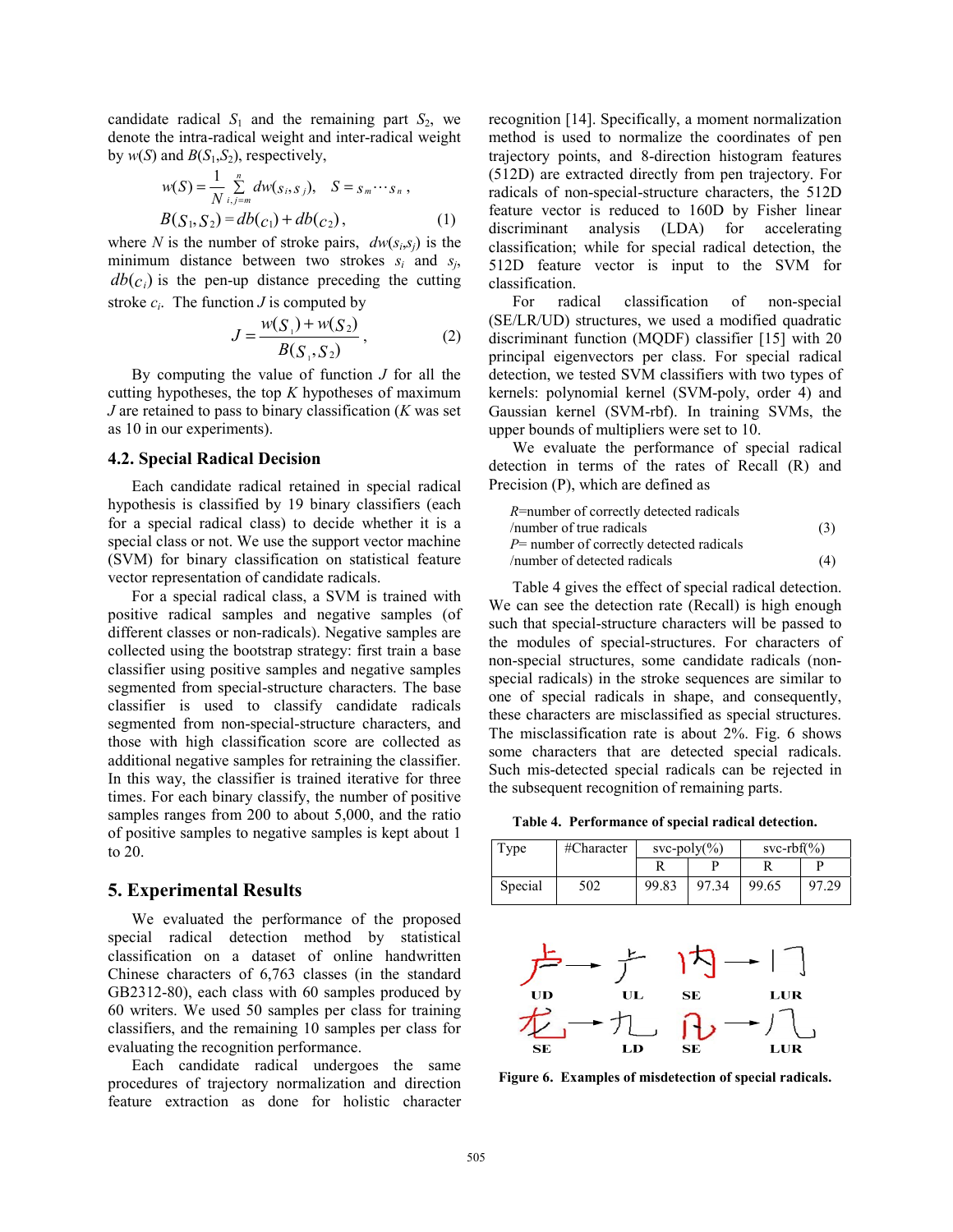candidate radical  $S_1$  and the remaining part  $S_2$ , we denote the intra-radical weight and inter-radical weight by  $w(S)$  and  $B(S_1, S_2)$ , respectively,

$$
w(S) = \frac{1}{N} \sum_{i,j=m}^{n} dw(s_i, s_j), \quad S = s_m \cdots s_n,
$$
  

$$
B(S_1, S_2) = db(c_1) + db(c_2), \quad (1)
$$

where *N* is the number of stroke pairs,  $dw(s_i, s_j)$  is the minimum distance between two strokes  $s_i$  and  $s_j$ ,  $db(c_i)$  is the pen-up distance preceding the cutting stroke  $c_i$ . The function *J* is computed by

$$
J = \frac{w(S_1) + w(S_2)}{B(S_1, S_2)},
$$
 (2)

By computing the value of function *J* for all the cutting hypotheses, the top *K* hypotheses of maximum *J* are retained to pass to binary classification (*K* was set as 10 in our experiments).

#### **4.2. Special Radical Decision**

Each candidate radical retained in special radical hypothesis is classified by 19 binary classifiers (each for a special radical class) to decide whether it is a special class or not. We use the support vector machine (SVM) for binary classification on statistical feature vector representation of candidate radicals.

For a special radical class, a SVM is trained with positive radical samples and negative samples (of different classes or non-radicals). Negative samples are collected using the bootstrap strategy: first train a base classifier using positive samples and negative samples segmented from special-structure characters. The base classifier is used to classify candidate radicals segmented from non-special-structure characters, and those with high classification score are collected as additional negative samples for retraining the classifier. In this way, the classifier is trained iterative for three times. For each binary classify, the number of positive samples ranges from 200 to about 5,000, and the ratio of positive samples to negative samples is kept about 1 to 20.

#### **5. Experimental Results**

We evaluated the performance of the proposed special radical detection method by statistical classification on a dataset of online handwritten Chinese characters of 6,763 classes (in the standard GB2312-80), each class with 60 samples produced by 60 writers. We used 50 samples per class for training classifiers, and the remaining 10 samples per class for evaluating the recognition performance.

Each candidate radical undergoes the same procedures of trajectory normalization and direction feature extraction as done for holistic character

recognition [14]. Specifically, a moment normalization method is used to normalize the coordinates of pen trajectory points, and 8-direction histogram features (512D) are extracted directly from pen trajectory. For radicals of non-special-structure characters, the 512D feature vector is reduced to 160D by Fisher linear discriminant analysis (LDA) for accelerating classification; while for special radical detection, the 512D feature vector is input to the SVM for classification.

For radical classification of non-special (SE/LR/UD) structures, we used a modified quadratic discriminant function (MQDF) classifier [15] with 20 principal eigenvectors per class. For special radical detection, we tested SVM classifiers with two types of kernels: polynomial kernel (SVM-poly, order 4) and Gaussian kernel (SVM-rbf). In training SVMs, the upper bounds of multipliers were set to 10.

We evaluate the performance of special radical detection in terms of the rates of Recall (R) and Precision (P), which are defined as

| R=number of correctly detected radicals     |     |
|---------------------------------------------|-----|
| /number of true radicals                    | (3) |
| $P$ = number of correctly detected radicals |     |
| /number of detected radicals                | (4) |

Table 4 gives the effect of special radical detection. We can see the detection rate (Recall) is high enough such that special-structure characters will be passed to the modules of special-structures. For characters of non-special structures, some candidate radicals (nonspecial radicals) in the stroke sequences are similar to one of special radicals in shape, and consequently, these characters are misclassified as special structures. The misclassification rate is about 2%. Fig. 6 shows some characters that are detected special radicals. Such mis-detected special radicals can be rejected in the subsequent recognition of remaining parts.

**Table 4. Performance of special radical detection.** 

| Type    | #Character | $svc-polv(\%)$ |       | svc-rbf $(\% )$ |       |
|---------|------------|----------------|-------|-----------------|-------|
|         |            |                |       |                 |       |
| Special | 502        | 99.83          | 97.34 | 99.65           | 97.29 |



**Figure 6. Examples of misdetection of special radicals.**